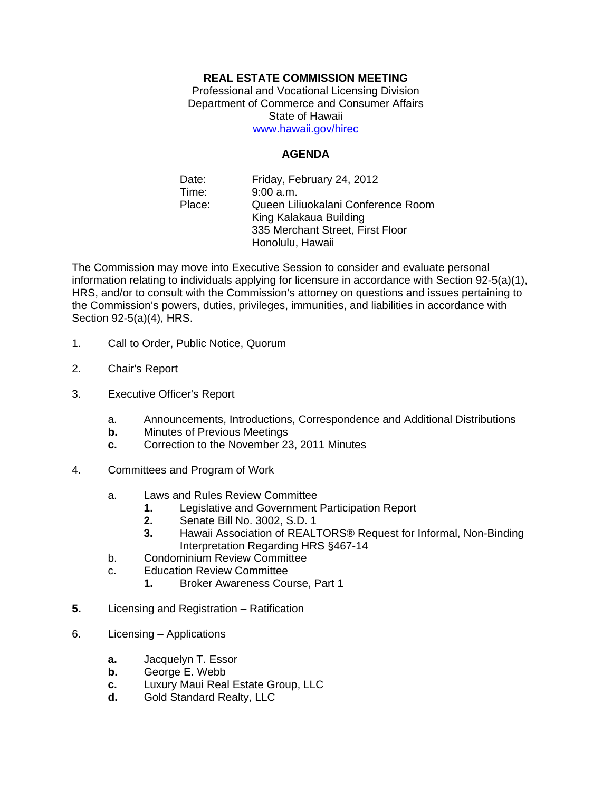## **REAL ESTATE COMMISSION MEETING**

Professional and Vocational Licensing Division Department of Commerce and Consumer Affairs State of Hawaii www.hawaii.gov/hirec

## **AGENDA**

Date: Time: Place: Friday, February 24, 2012 9:00 a.m. Queen Liliuokalani Conference Room King Kalakaua Building 335 Merchant Street, First Floor Honolulu, Hawaii

The Commission may move into Executive Session to consider and evaluate personal information relating to individuals applying for licensure in accordance with Section 92-5(a)(1), HRS, and/or to consult with the Commission's attorney on questions and issues pertaining to the Commission's powers, duties, privileges, immunities, and liabilities in accordance with Section 92-5(a)(4), HRS.

- 1. Call to Order, Public Notice, Quorum
- 2. Chair's Report
- 3. Executive Officer's Report
	- a. Announcements, Introductions, Correspondence and Additional Distributions
	- **b.** Minutes of Previous Meetings
	- **c.** Correction to the November 23, 2011 Minutes
- 4. Committees and Program of Work
	- a. Laws and Rules Review Committee
		- **1.** Legislative and Government Participation Report
		- **2.** Senate Bill No. 3002, S.D. 1
		- **3.** Hawaii Association of REALTORS® Request for Informal, Non-Binding Interpretation Regarding HRS §467-14
	- b. Condominium Review Committee
	- c. Education Review Committee
		- **1.** Broker Awareness Course, Part 1
- **5.** Licensing and Registration Ratification
- 6. Licensing Applications
	- **a.** Jacquelyn T. Essor
	- **b.** George E. Webb
	- **c.** Luxury Maui Real Estate Group, LLC
	- **d.** Gold Standard Realty, LLC